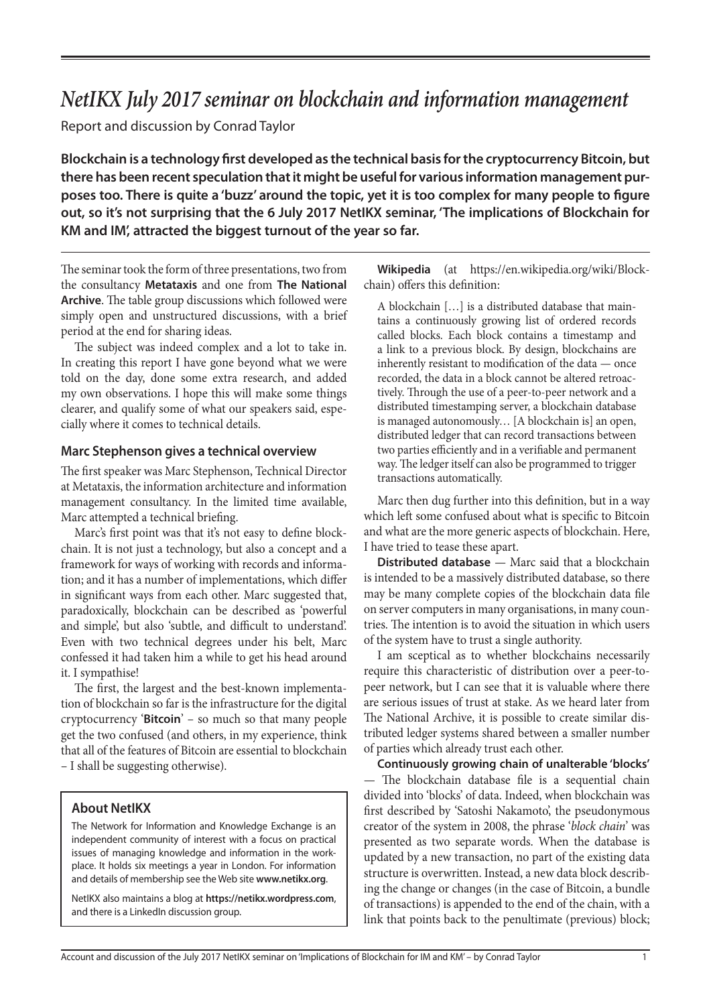# *NetIKX July 2017 seminar on blockchain and information management*

Report and discussion by Conrad Taylor

**Blockchain is a technology first developed as the technical basis for the cryptocurrency Bitcoin, but there has been recent speculation that it might be useful for various information management purposes too. There is quite a 'buzz' around the topic, yet it is too complex for many people to figure out, so it's not surprising that the 6 July 2017 NetIKX seminar, 'The implications of Blockchain for KM and IM', attracted the biggest turnout of the year so far.**

The seminar took the form of three presentations, two from the consultancy **Metataxis** and one from **The National Archive**. The table group discussions which followed were simply open and unstructured discussions, with a brief period at the end for sharing ideas.

The subject was indeed complex and a lot to take in. In creating this report I have gone beyond what we were told on the day, done some extra research, and added my own observations. I hope this will make some things clearer, and qualify some of what our speakers said, especially where it comes to technical details.

#### **Marc Stephenson gives a technical overview**

The first speaker was Marc Stephenson, Technical Director at Metataxis, the information architecture and information management consultancy. In the limited time available, Marc attempted a technical briefing.

Marc's first point was that it's not easy to define blockchain. It is not just a technology, but also a concept and a framework for ways of working with records and information; and it has a number of implementations, which differ in significant ways from each other. Marc suggested that, paradoxically, blockchain can be described as 'powerful and simple', but also 'subtle, and difficult to understand'. Even with two technical degrees under his belt, Marc confessed it had taken him a while to get his head around it. I sympathise!

The first, the largest and the best-known implementation of blockchain so far is the infrastructure for the digital cryptocurrency '**Bitcoin**' – so much so that many people get the two confused (and others, in my experience, think that all of the features of Bitcoin are essential to blockchain – I shall be suggesting otherwise).

## **About NetIKX**

The Network for Information and Knowledge Exchange is an independent community of interest with a focus on practical issues of managing knowledge and information in the workplace. It holds six meetings a year in London. For information and details of membership see the Web site **www.netikx.org**.

NetIKX also maintains a blog at **https://netikx.wordpress.com**, and there is a LinkedIn discussion group.

**Wikipedia** (at https://en.wikipedia.org/wiki/Blockchain) offers this definition:

A blockchain […] is a distributed database that maintains a continuously growing list of ordered records called blocks. Each block contains a timestamp and a link to a previous block. By design, blockchains are inherently resistant to modification of the data — once recorded, the data in a block cannot be altered retroactively. Through the use of a peer-to-peer network and a distributed timestamping server, a blockchain database is managed autonomously… [A blockchain is] an open, distributed ledger that can record transactions between two parties efficiently and in a verifiable and permanent way. The ledger itself can also be programmed to trigger transactions automatically.

Marc then dug further into this definition, but in a way which left some confused about what is specific to Bitcoin and what are the more generic aspects of blockchain. Here, I have tried to tease these apart.

**Distributed database** — Marc said that a blockchain is intended to be a massively distributed database, so there may be many complete copies of the blockchain data file on server computers in many organisations, in many countries. The intention is to avoid the situation in which users of the system have to trust a single authority.

I am sceptical as to whether blockchains necessarily require this characteristic of distribution over a peer-topeer network, but I can see that it is valuable where there are serious issues of trust at stake. As we heard later from The National Archive, it is possible to create similar distributed ledger systems shared between a smaller number of parties which already trust each other.

**Continuously growing chain of unalterable 'blocks'** — The blockchain database file is a sequential chain divided into 'blocks' of data. Indeed, when blockchain was first described by 'Satoshi Nakamoto', the pseudonymous creator of the system in 2008, the phrase '*block chain*' was presented as two separate words. When the database is updated by a new transaction, no part of the existing data structure is overwritten. Instead, a new data block describing the change or changes (in the case of Bitcoin, a bundle of transactions) is appended to the end of the chain, with a link that points back to the penultimate (previous) block;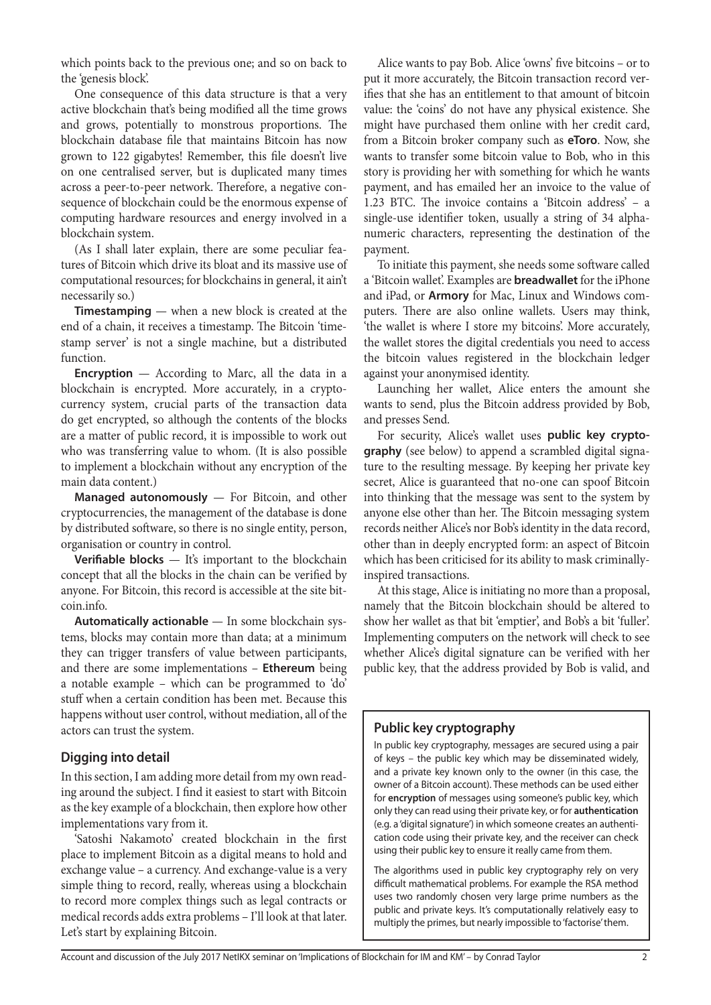which points back to the previous one; and so on back to the 'genesis block'.

One consequence of this data structure is that a very active blockchain that's being modified all the time grows and grows, potentially to monstrous proportions. The blockchain database file that maintains Bitcoin has now grown to 122 gigabytes! Remember, this file doesn't live on one centralised server, but is duplicated many times across a peer-to-peer network. Therefore, a negative consequence of blockchain could be the enormous expense of computing hardware resources and energy involved in a blockchain system.

(As I shall later explain, there are some peculiar features of Bitcoin which drive its bloat and its massive use of computational resources; for blockchains in general, it ain't necessarily so.)

**Timestamping** — when a new block is created at the end of a chain, it receives a timestamp. The Bitcoin 'timestamp server' is not a single machine, but a distributed function.

**Encryption** — According to Marc, all the data in a blockchain is encrypted. More accurately, in a cryptocurrency system, crucial parts of the transaction data do get encrypted, so although the contents of the blocks are a matter of public record, it is impossible to work out who was transferring value to whom. (It is also possible to implement a blockchain without any encryption of the main data content.)

**Managed autonomously** — For Bitcoin, and other cryptocurrencies, the management of the database is done by distributed software, so there is no single entity, person, organisation or country in control.

**Verifiable blocks** — It's important to the blockchain concept that all the blocks in the chain can be verified by anyone. For Bitcoin, this record is accessible at the site bitcoin.info.

**Automatically actionable** — In some blockchain systems, blocks may contain more than data; at a minimum they can trigger transfers of value between participants, and there are some implementations – **Ethereum** being a notable example – which can be programmed to 'do' stuff when a certain condition has been met. Because this happens without user control, without mediation, all of the actors can trust the system.

## **Digging into detail**

In this section, I am adding more detail from my own reading around the subject. I find it easiest to start with Bitcoin as the key example of a blockchain, then explore how other implementations vary from it.

'Satoshi Nakamoto' created blockchain in the first place to implement Bitcoin as a digital means to hold and exchange value – a currency. And exchange-value is a very simple thing to record, really, whereas using a blockchain to record more complex things such as legal contracts or medical records adds extra problems – I'll look at that later. Let's start by explaining Bitcoin.

Alice wants to pay Bob. Alice 'owns' five bitcoins – or to put it more accurately, the Bitcoin transaction record verifies that she has an entitlement to that amount of bitcoin value: the 'coins' do not have any physical existence. She might have purchased them online with her credit card, from a Bitcoin broker company such as **eToro**. Now, she wants to transfer some bitcoin value to Bob, who in this story is providing her with something for which he wants payment, and has emailed her an invoice to the value of 1.23 BTC. The invoice contains a 'Bitcoin address' – a single-use identifier token, usually a string of 34 alphanumeric characters, representing the destination of the payment.

To initiate this payment, she needs some software called a 'Bitcoin wallet'. Examples are **breadwallet** for the iPhone and iPad, or **Armory** for Mac, Linux and Windows computers. There are also online wallets. Users may think, 'the wallet is where I store my bitcoins'. More accurately, the wallet stores the digital credentials you need to access the bitcoin values registered in the blockchain ledger against your anonymised identity.

Launching her wallet, Alice enters the amount she wants to send, plus the Bitcoin address provided by Bob, and presses Send.

For security, Alice's wallet uses **public key cryptography** (see below) to append a scrambled digital signature to the resulting message. By keeping her private key secret, Alice is guaranteed that no-one can spoof Bitcoin into thinking that the message was sent to the system by anyone else other than her. The Bitcoin messaging system records neither Alice's nor Bob's identity in the data record, other than in deeply encrypted form: an aspect of Bitcoin which has been criticised for its ability to mask criminallyinspired transactions.

At this stage, Alice is initiating no more than a proposal, namely that the Bitcoin blockchain should be altered to show her wallet as that bit 'emptier', and Bob's a bit 'fuller'. Implementing computers on the network will check to see whether Alice's digital signature can be verified with her public key, that the address provided by Bob is valid, and

# **Public key cryptography**

In public key cryptography, messages are secured using a pair of keys – the public key which may be disseminated widely, and a private key known only to the owner (in this case, the owner of a Bitcoin account). These methods can be used either for **encryption** of messages using someone's public key, which only they can read using their private key, or for **authentication** (e.g. a 'digital signature') in which someone creates an authentication code using their private key, and the receiver can check using their public key to ensure it really came from them.

The algorithms used in public key cryptography rely on very difficult mathematical problems. For example the RSA method uses two randomly chosen very large prime numbers as the public and private keys. It's computationally relatively easy to multiply the primes, but nearly impossible to 'factorise' them.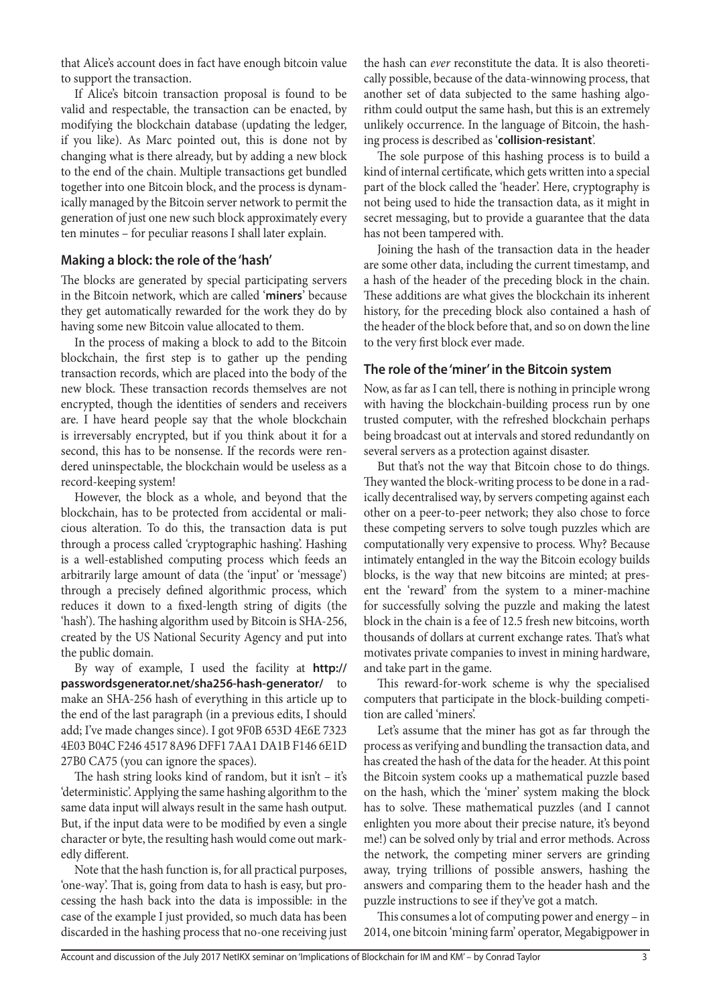that Alice's account does in fact have enough bitcoin value to support the transaction.

If Alice's bitcoin transaction proposal is found to be valid and respectable, the transaction can be enacted, by modifying the blockchain database (updating the ledger, if you like). As Marc pointed out, this is done not by changing what is there already, but by adding a new block to the end of the chain. Multiple transactions get bundled together into one Bitcoin block, and the process is dynamically managed by the Bitcoin server network to permit the generation of just one new such block approximately every ten minutes – for peculiar reasons I shall later explain.

#### **Making a block: the role of the 'hash'**

The blocks are generated by special participating servers in the Bitcoin network, which are called '**miners**' because they get automatically rewarded for the work they do by having some new Bitcoin value allocated to them.

In the process of making a block to add to the Bitcoin blockchain, the first step is to gather up the pending transaction records, which are placed into the body of the new block. These transaction records themselves are not encrypted, though the identities of senders and receivers are. I have heard people say that the whole blockchain is irreversably encrypted, but if you think about it for a second, this has to be nonsense. If the records were rendered uninspectable, the blockchain would be useless as a record-keeping system!

However, the block as a whole, and beyond that the blockchain, has to be protected from accidental or malicious alteration. To do this, the transaction data is put through a process called 'cryptographic hashing'. Hashing is a well-established computing process which feeds an arbitrarily large amount of data (the 'input' or 'message') through a precisely defined algorithmic process, which reduces it down to a fixed-length string of digits (the 'hash'). The hashing algorithm used by Bitcoin is SHA-256, created by the US National Security Agency and put into the public domain.

By way of example, I used the facility at **<http://> [passwordsgenerator.net/sha256-hash-generator/](http://)** to make an SHA-256 hash of everything in this article up to the end of the last paragraph (in a previous edits, I should add; I've made changes since). I got 9F0B 653D 4E6E 7323 4E03 B04C F246 4517 8A96 DFF1 7AA1 DA1B F146 6E1D 27B0 CA75 (you can ignore the spaces).

The hash string looks kind of random, but it isn't – it's 'deterministic'. Applying the same hashing algorithm to the same data input will always result in the same hash output. But, if the input data were to be modified by even a single character or byte, the resulting hash would come out markedly different.

Note that the hash function is, for all practical purposes, 'one-way'. That is, going from data to hash is easy, but processing the hash back into the data is impossible: in the case of the example I just provided, so much data has been discarded in the hashing process that no-one receiving just

the hash can *ever* reconstitute the data. It is also theoretically possible, because of the data-winnowing process, that another set of data subjected to the same hashing algorithm could output the same hash, but this is an extremely unlikely occurrence. In the language of Bitcoin, the hashing process is described as '**collision-resistant**'.

The sole purpose of this hashing process is to build a kind of internal certificate, which gets written into a special part of the block called the 'header'. Here, cryptography is not being used to hide the transaction data, as it might in secret messaging, but to provide a guarantee that the data has not been tampered with.

Joining the hash of the transaction data in the header are some other data, including the current timestamp, and a hash of the header of the preceding block in the chain. These additions are what gives the blockchain its inherent history, for the preceding block also contained a hash of the header of the block before that, and so on down the line to the very first block ever made.

## **The role of the 'miner' in the Bitcoin system**

Now, as far as I can tell, there is nothing in principle wrong with having the blockchain-building process run by one trusted computer, with the refreshed blockchain perhaps being broadcast out at intervals and stored redundantly on several servers as a protection against disaster.

But that's not the way that Bitcoin chose to do things. They wanted the block-writing process to be done in a radically decentralised way, by servers competing against each other on a peer-to-peer network; they also chose to force these competing servers to solve tough puzzles which are computationally very expensive to process. Why? Because intimately entangled in the way the Bitcoin ecology builds blocks, is the way that new bitcoins are minted; at present the 'reward' from the system to a miner-machine for successfully solving the puzzle and making the latest block in the chain is a fee of 12.5 fresh new bitcoins, worth thousands of dollars at current exchange rates. That's what motivates private companies to invest in mining hardware, and take part in the game.

This reward-for-work scheme is why the specialised computers that participate in the block-building competition are called 'miners'.

Let's assume that the miner has got as far through the process as verifying and bundling the transaction data, and has created the hash of the data for the header. At this point the Bitcoin system cooks up a mathematical puzzle based on the hash, which the 'miner' system making the block has to solve. These mathematical puzzles (and I cannot enlighten you more about their precise nature, it's beyond me!) can be solved only by trial and error methods. Across the network, the competing miner servers are grinding away, trying trillions of possible answers, hashing the answers and comparing them to the header hash and the puzzle instructions to see if they've got a match.

This consumes a lot of computing power and energy – in 2014, one bitcoin 'mining farm' operator, Megabigpower in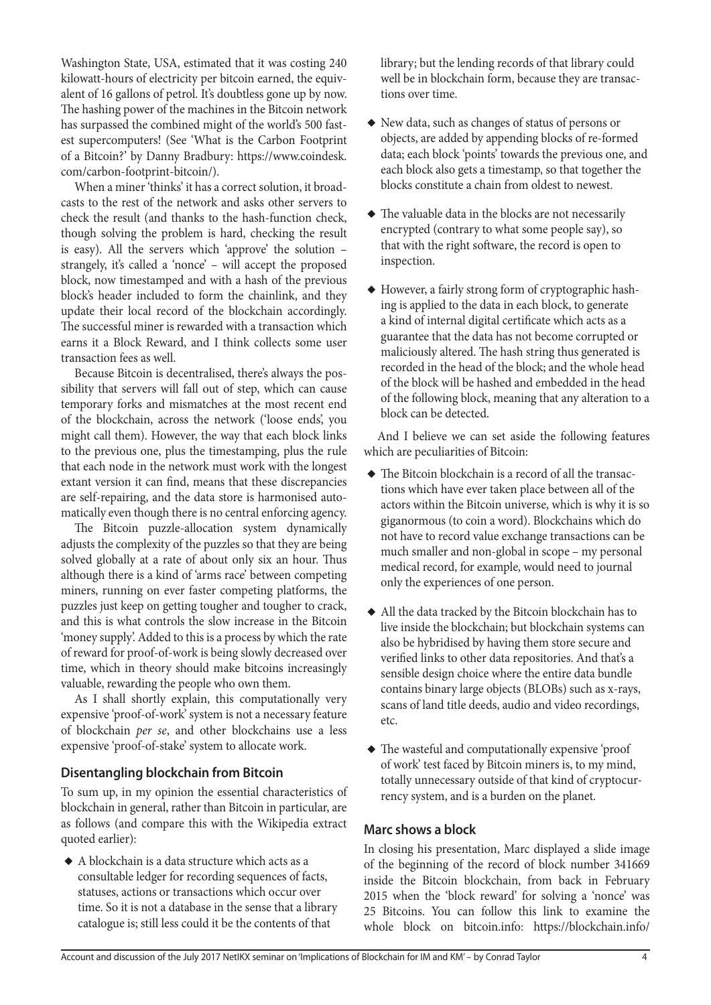Washington State, USA, estimated that it was costing 240 kilowatt-hours of electricity per bitcoin earned, the equivalent of 16 gallons of petrol. It's doubtless gone up by now. The hashing power of the machines in the Bitcoin network has surpassed the combined might of the world's 500 fastest supercomputers! (See 'What is the Carbon Footprint of a Bitcoin?' by Danny Bradbury: [https://www.coindesk.](https://www.coindesk.com/carbon-footprint-bitcoin/) [com/carbon-footprint-bitcoin/\)](https://www.coindesk.com/carbon-footprint-bitcoin/).

When a miner 'thinks' it has a correct solution, it broadcasts to the rest of the network and asks other servers to check the result (and thanks to the hash-function check, though solving the problem is hard, checking the result is easy). All the servers which 'approve' the solution – strangely, it's called a 'nonce' – will accept the proposed block, now timestamped and with a hash of the previous block's header included to form the chainlink, and they update their local record of the blockchain accordingly. The successful miner is rewarded with a transaction which earns it a Block Reward, and I think collects some user transaction fees as well.

Because Bitcoin is decentralised, there's always the possibility that servers will fall out of step, which can cause temporary forks and mismatches at the most recent end of the blockchain, across the network ('loose ends', you might call them). However, the way that each block links to the previous one, plus the timestamping, plus the rule that each node in the network must work with the longest extant version it can find, means that these discrepancies are self-repairing, and the data store is harmonised automatically even though there is no central enforcing agency.

The Bitcoin puzzle-allocation system dynamically adjusts the complexity of the puzzles so that they are being solved globally at a rate of about only six an hour. Thus although there is a kind of 'arms race' between competing miners, running on ever faster competing platforms, the puzzles just keep on getting tougher and tougher to crack, and this is what controls the slow increase in the Bitcoin 'money supply'. Added to this is a process by which the rate of reward for proof-of-work is being slowly decreased over time, which in theory should make bitcoins increasingly valuable, rewarding the people who own them.

As I shall shortly explain, this computationally very expensive 'proof-of-work' system is not a necessary feature of blockchain *per se*, and other blockchains use a less expensive 'proof-of-stake' system to allocate work.

## **Disentangling blockchain from Bitcoin**

To sum up, in my opinion the essential characteristics of blockchain in general, rather than Bitcoin in particular, are as follows (and compare this with the Wikipedia extract quoted earlier):

◆ A blockchain is a data structure which acts as a consultable ledger for recording sequences of facts, statuses, actions or transactions which occur over time. So it is not a database in the sense that a library catalogue is; still less could it be the contents of that

library; but the lending records of that library could well be in blockchain form, because they are transactions over time.

- ◆ New data, such as changes of status of persons or objects, are added by appending blocks of re-formed data; each block 'points' towards the previous one, and each block also gets a timestamp, so that together the blocks constitute a chain from oldest to newest.
- ◆ The valuable data in the blocks are not necessarily encrypted (contrary to what some people say), so that with the right software, the record is open to inspection.
- ◆ However, a fairly strong form of cryptographic hashing is applied to the data in each block, to generate a kind of internal digital certificate which acts as a guarantee that the data has not become corrupted or maliciously altered. The hash string thus generated is recorded in the head of the block; and the whole head of the block will be hashed and embedded in the head of the following block, meaning that any alteration to a block can be detected.

And I believe we can set aside the following features which are peculiarities of Bitcoin:

- ◆ The Bitcoin blockchain is a record of all the transactions which have ever taken place between all of the actors within the Bitcoin universe, which is why it is so giganormous (to coin a word). Blockchains which do not have to record value exchange transactions can be much smaller and non-global in scope – my personal medical record, for example, would need to journal only the experiences of one person.
- ◆ All the data tracked by the Bitcoin blockchain has to live inside the blockchain; but blockchain systems can also be hybridised by having them store secure and verified links to other data repositories. And that's a sensible design choice where the entire data bundle contains binary large objects (BLOBs) such as x-rays, scans of land title deeds, audio and video recordings, etc.
- ◆ The wasteful and computationally expensive 'proof of work' test faced by Bitcoin miners is, to my mind, totally unnecessary outside of that kind of cryptocurrency system, and is a burden on the planet.

# **Marc shows a block**

In closing his presentation, Marc displayed a slide image of the beginning of the record of block number 341669 inside the Bitcoin blockchain, from back in February 2015 when the 'block reward' for solving a 'nonce' was 25 Bitcoins. You can follow this link to examine the whole block on bitcoin.info: https://blockchain.info/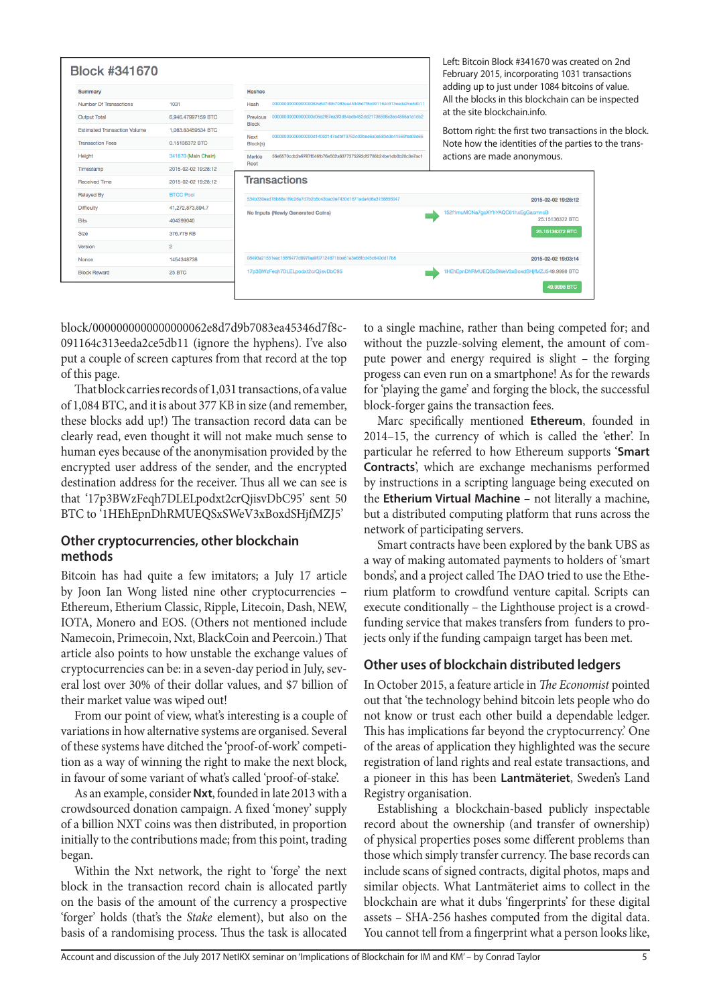|                         | <b>Block #341670</b>                |                     |                  |                                                                                                                                                                       | Left: Bitcoin Block #341670 was created on 2nd<br>February 2015, incorporating 1031 transactions |  |
|-------------------------|-------------------------------------|---------------------|------------------|-----------------------------------------------------------------------------------------------------------------------------------------------------------------------|--------------------------------------------------------------------------------------------------|--|
| Summary                 |                                     |                     |                  |                                                                                                                                                                       | adding up to just under 1084 bitcoins of value.                                                  |  |
|                         | Number Of Transactions              | 1031                | Hash             | 00000000000000000062e8d7d9b7083ea45346d7f8c091164c313eeda2ce5db11<br>at the site blockchain.info.<br>00000000000000000005a2f67ea3f3d84adb452dd21736596c3ec4856a1a1dc2 | All the blocks in this blockchain can be inspected                                               |  |
| <b>Output Total</b>     |                                     | 6.946.47997159 BTC  | Previous         |                                                                                                                                                                       |                                                                                                  |  |
|                         | <b>Estimated Transaction Volume</b> | 1,083.83459534 BTC  | <b>Block</b>     | 00000000000000000014002147edbf73762c02bee6a0e583e0b41569fee09e66                                                                                                      | Bottom right: the first two transactions in the block.                                           |  |
| <b>Transaction Fees</b> |                                     | 0.15136372 BTC      | Next<br>Block(s) |                                                                                                                                                                       | Note how the identities of the parties to the trans-                                             |  |
| Height                  |                                     | 341670 (Main Chain) | Merkle           | 56e6570cdb2e9787f046fb76e502a6377375293df2786b24be1db0b20c3e7ac1                                                                                                      | actions are made anonymous.                                                                      |  |
| Timestamp               |                                     | 2015-02-02 19:28:12 | Root             |                                                                                                                                                                       |                                                                                                  |  |
| <b>Received Time</b>    |                                     | 2015-02-02 19:28:12 |                  | Transactions                                                                                                                                                          | 2015-02-02 19:28:12                                                                              |  |
| <b>Relaved By</b>       |                                     | <b>BTCC Pool</b>    |                  | 534b330ead78b88a1f9c26a7d7b2b5c43bac0e7430d1671ada4d6a3158856047                                                                                                      |                                                                                                  |  |
| <b>Difficulty</b>       |                                     | 41,272,873,894.7    |                  | No Inputs (Newly Generated Coins)                                                                                                                                     | 152f1muMCNa7goXYhYAQC61hxEgGacmncB                                                               |  |
| <b>Bits</b>             |                                     | 404399040           |                  |                                                                                                                                                                       | 25.15136372 BTC                                                                                  |  |
| <b>Size</b>             |                                     | 376,779 KB          |                  |                                                                                                                                                                       | 25.15136372 BTC                                                                                  |  |
| Version                 |                                     | $\overline{2}$      |                  |                                                                                                                                                                       |                                                                                                  |  |
| Nonce                   |                                     | 1454348738          |                  | 08493a21531eac158f6477d997faa9f07124671bba61a3e68fcd45c640dd17b8                                                                                                      | 2015-02-02 19:03:14                                                                              |  |
| <b>Block Reward</b>     |                                     | <b>25 BTC</b>       |                  | 17p3BWzFegh7DLELpodxt2crQjisvDbC95                                                                                                                                    | 1HEhEpnDhRMUEQSxSWeV3xBoxdSHifMZJ549.9998 BTC                                                    |  |
|                         |                                     |                     |                  |                                                                                                                                                                       | 49.9998 BTC                                                                                      |  |

block/0000000000000000062e8d7d9b7083ea45346d7f8c-091164c313eeda2ce5db11 (ignore the hyphens). I've also put a couple of screen captures from that record at the top of this page.

That block carries records of 1,031 transactions, of a value of 1,084 BTC, and it is about 377 KB in size (and remember, these blocks add up!) The transaction record data can be clearly read, even thought it will not make much sense to human eyes because of the anonymisation provided by the encrypted user address of the sender, and the encrypted destination address for the receiver. Thus all we can see is that '17p3BWzFeqh7DLELpodxt2crQjisvDbC95' sent 50 BTC to '1HEhEpnDhRMUEQSxSWeV3xBoxdSHjfMZJ5'

## **Other cryptocurrencies, other blockchain methods**

Bitcoin has had quite a few imitators; a July 17 article by Joon Ian Wong listed nine other cryptocurrencies – Ethereum, Etherium Classic, Ripple, Litecoin, Dash, NEW, IOTA, Monero and EOS. (Others not mentioned include Namecoin, Primecoin, Nxt, BlackCoin and Peercoin.) That article also points to how unstable the exchange values of cryptocurrencies can be: in a seven-day period in July, several lost over 30% of their dollar values, and \$7 billion of their market value was wiped out!

From our point of view, what's interesting is a couple of variations in how alternative systems are organised. Several of these systems have ditched the 'proof-of-work' competition as a way of winning the right to make the next block, in favour of some variant of what's called 'proof-of-stake'.

As an example, consider **Nxt**, founded in late 2013 with a crowdsourced donation campaign. A fixed 'money' supply of a billion NXT coins was then distributed, in proportion initially to the contributions made; from this point, trading began.

Within the Nxt network, the right to 'forge' the next block in the transaction record chain is allocated partly on the basis of the amount of the currency a prospective 'forger' holds (that's the *Stake* element), but also on the basis of a randomising process. Thus the task is allocated

to a single machine, rather than being competed for; and without the puzzle-solving element, the amount of compute power and energy required is slight – the forging progess can even run on a smartphone! As for the rewards for 'playing the game' and forging the block, the successful block-forger gains the transaction fees.

Marc specifically mentioned **Ethereum**, founded in 2014–15, the currency of which is called the 'ether'. In particular he referred to how Ethereum supports '**Smart Contracts**', which are exchange mechanisms performed by instructions in a scripting language being executed on the **Etherium Virtual Machine** – not literally a machine, but a distributed computing platform that runs across the network of participating servers.

Smart contracts have been explored by the bank UBS as a way of making automated payments to holders of 'smart bonds', and a project called The DAO tried to use the Etherium platform to crowdfund venture capital. Scripts can execute conditionally – the Lighthouse project is a crowdfunding service that makes transfers from funders to projects only if the funding campaign target has been met.

# **Other uses of blockchain distributed ledgers**

In October 2015, a feature article in *The Economist* pointed out that 'the technology behind bitcoin lets people who do not know or trust each other build a dependable ledger. This has implications far beyond the cryptocurrency.' One of the areas of application they highlighted was the secure registration of land rights and real estate transactions, and a pioneer in this has been **Lantmäteriet**, Sweden's Land Registry organisation.

Establishing a blockchain-based publicly inspectable record about the ownership (and transfer of ownership) of physical properties poses some different problems than those which simply transfer currency. The base records can include scans of signed contracts, digital photos, maps and similar objects. What Lantmäteriet aims to collect in the blockchain are what it dubs 'fingerprints' for these digital assets – SHA-256 hashes computed from the digital data. You cannot tell from a fingerprint what a person looks like,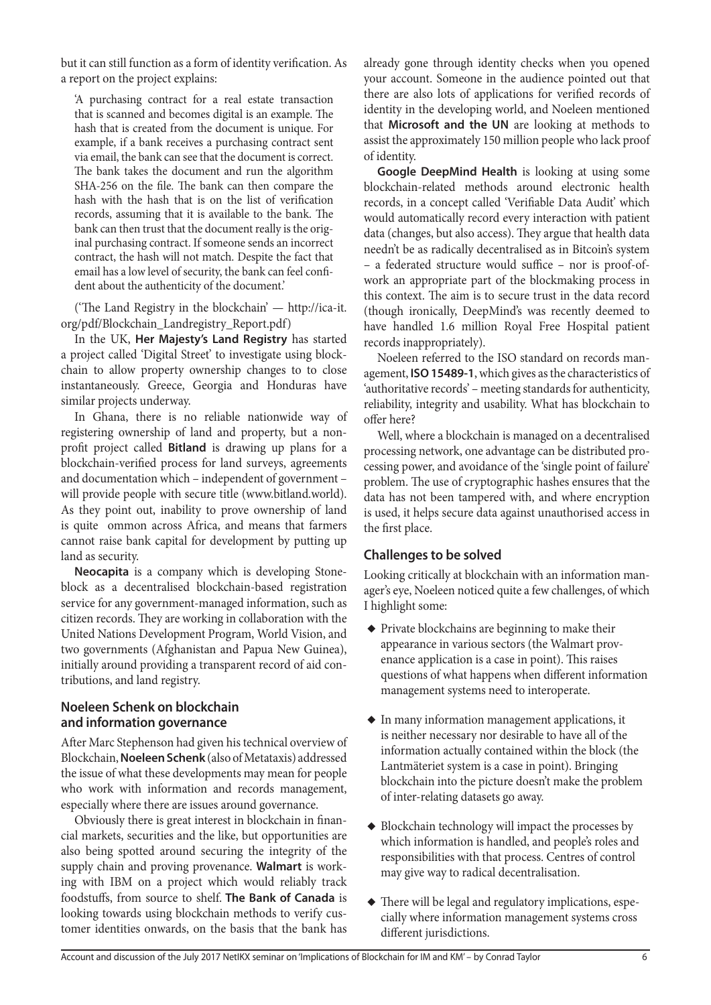but it can still function as a form of identity verification. As a report on the project explains:

'A purchasing contract for a real estate transaction that is scanned and becomes digital is an example. The hash that is created from the document is unique. For example, if a bank receives a purchasing contract sent via email, the bank can see that the document is correct. The bank takes the document and run the algorithm SHA-256 on the file. The bank can then compare the hash with the hash that is on the list of verification records, assuming that it is available to the bank. The bank can then trust that the document really is the original purchasing contract. If someone sends an incorrect contract, the hash will not match. Despite the fact that email has a low level of security, the bank can feel confident about the authenticity of the document.'

('The Land Registry in the blockchain' — http://ica-it. org/pdf/Blockchain\_Landregistry\_Report.pdf)

In the UK, **Her Majesty's Land Registry** has started a project called 'Digital Street' to investigate using blockchain to allow property ownership changes to to close instantaneously. Greece, Georgia and Honduras have similar projects underway.

In Ghana, there is no reliable nationwide way of registering ownership of land and property, but a nonprofit project called **Bitland** is drawing up plans for a blockchain-verified process for land surveys, agreements and documentation which – independent of government – will provide people with secure title (www.bitland.world). As they point out, inability to prove ownership of land is quite ommon across Africa, and means that farmers cannot raise bank capital for development by putting up land as security.

**Neocapita** is a company which is developing Stoneblock as a decentralised blockchain-based registration service for any government-managed information, such as citizen records. They are working in collaboration with the United Nations Development Program, World Vision, and two governments (Afghanistan and Papua New Guinea), initially around providing a transparent record of aid contributions, and land registry.

## **Noeleen Schenk on blockchain and information governance**

After Marc Stephenson had given his technical overview of Blockchain, **Noeleen Schenk** (also of Metataxis) addressed the issue of what these developments may mean for people who work with information and records management, especially where there are issues around governance.

Obviously there is great interest in blockchain in financial markets, securities and the like, but opportunities are also being spotted around securing the integrity of the supply chain and proving provenance. **Walmart** is working with IBM on a project which would reliably track foodstuffs, from source to shelf. **The Bank of Canada** is looking towards using blockchain methods to verify customer identities onwards, on the basis that the bank has

already gone through identity checks when you opened your account. Someone in the audience pointed out that there are also lots of applications for verified records of identity in the developing world, and Noeleen mentioned that **Microsoft and the UN** are looking at methods to assist the approximately 150 million people who lack proof of identity.

**Google DeepMind Health** is looking at using some blockchain-related methods around electronic health records, in a concept called 'Verifiable Data Audit' which would automatically record every interaction with patient data (changes, but also access). They argue that health data needn't be as radically decentralised as in Bitcoin's system – a federated structure would suffice – nor is proof-ofwork an appropriate part of the blockmaking process in this context. The aim is to secure trust in the data record (though ironically, DeepMind's was recently deemed to have handled 1.6 million Royal Free Hospital patient records inappropriately).

Noeleen referred to the ISO standard on records management, **ISO 15489-1**, which gives as the characteristics of 'authoritative records' – meeting standards for authenticity, reliability, integrity and usability. What has blockchain to offer here?

Well, where a blockchain is managed on a decentralised processing network, one advantage can be distributed processing power, and avoidance of the 'single point of failure' problem. The use of cryptographic hashes ensures that the data has not been tampered with, and where encryption is used, it helps secure data against unauthorised access in the first place.

# **Challenges to be solved**

Looking critically at blockchain with an information manager's eye, Noeleen noticed quite a few challenges, of which I highlight some:

- ◆ Private blockchains are beginning to make their appearance in various sectors (the Walmart provenance application is a case in point). This raises questions of what happens when different information management systems need to interoperate.
- ◆ In many information management applications, it is neither necessary nor desirable to have all of the information actually contained within the block (the Lantmäteriet system is a case in point). Bringing blockchain into the picture doesn't make the problem of inter-relating datasets go away.
- ◆ Blockchain technology will impact the processes by which information is handled, and people's roles and responsibilities with that process. Centres of control may give way to radical decentralisation.
- ◆ There will be legal and regulatory implications, especially where information management systems cross different jurisdictions.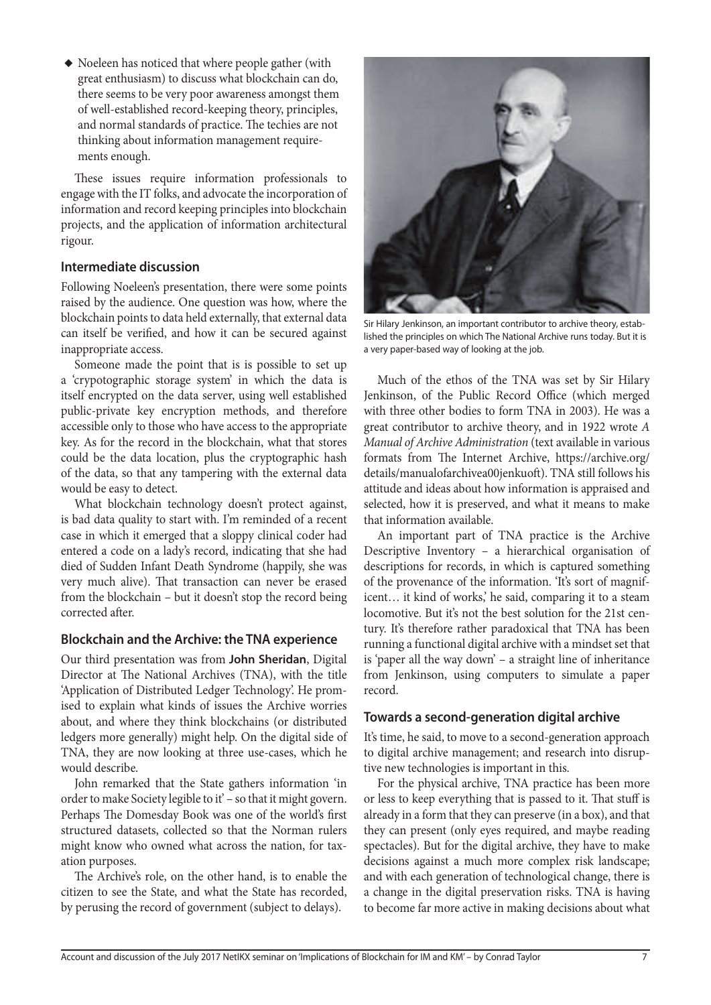◆ Noeleen has noticed that where people gather (with great enthusiasm) to discuss what blockchain can do, there seems to be very poor awareness amongst them of well-established record-keeping theory, principles, and normal standards of practice. The techies are not thinking about information management requirements enough.

These issues require information professionals to engage with the IT folks, and advocate the incorporation of information and record keeping principles into blockchain projects, and the application of information architectural rigour.

#### **Intermediate discussion**

Following Noeleen's presentation, there were some points raised by the audience. One question was how, where the blockchain points to data held externally, that external data can itself be verified, and how it can be secured against inappropriate access.

Someone made the point that is is possible to set up a 'crypotographic storage system' in which the data is itself encrypted on the data server, using well established public-private key encryption methods, and therefore accessible only to those who have access to the appropriate key. As for the record in the blockchain, what that stores could be the data location, plus the cryptographic hash of the data, so that any tampering with the external data would be easy to detect.

What blockchain technology doesn't protect against, is bad data quality to start with. I'm reminded of a recent case in which it emerged that a sloppy clinical coder had entered a code on a lady's record, indicating that she had died of Sudden Infant Death Syndrome (happily, she was very much alive). That transaction can never be erased from the blockchain – but it doesn't stop the record being corrected after.

## **Blockchain and the Archive: the TNA experience**

Our third presentation was from **John Sheridan**, Digital Director at The National Archives (TNA), with the title 'Application of Distributed Ledger Technology'. He promised to explain what kinds of issues the Archive worries about, and where they think blockchains (or distributed ledgers more generally) might help. On the digital side of TNA, they are now looking at three use-cases, which he would describe.

John remarked that the State gathers information 'in order to make Society legible to it' – so that it might govern. Perhaps The Domesday Book was one of the world's first structured datasets, collected so that the Norman rulers might know who owned what across the nation, for taxation purposes.

The Archive's role, on the other hand, is to enable the citizen to see the State, and what the State has recorded, by perusing the record of government (subject to delays).



Sir Hilary Jenkinson, an important contributor to archive theory, established the principles on which The National Archive runs today. But it is a very paper-based way of looking at the job.

Much of the ethos of the TNA was set by Sir Hilary Jenkinson, of the Public Record Office (which merged with three other bodies to form TNA in 2003). He was a great contributor to archive theory, and in 1922 wrote *A Manual of Archive Administration* (text available in various formats from The Internet Archive, https://archive.org/ details/manualofarchivea00jenkuoft). TNA still follows his attitude and ideas about how information is appraised and selected, how it is preserved, and what it means to make that information available.

An important part of TNA practice is the Archive Descriptive Inventory – a hierarchical organisation of descriptions for records, in which is captured something of the provenance of the information. 'It's sort of magnificent… it kind of works,' he said, comparing it to a steam locomotive. But it's not the best solution for the 21st century. It's therefore rather paradoxical that TNA has been running a functional digital archive with a mindset set that is 'paper all the way down' – a straight line of inheritance from Jenkinson, using computers to simulate a paper record.

## **Towards a second-generation digital archive**

It's time, he said, to move to a second-generation approach to digital archive management; and research into disruptive new technologies is important in this.

For the physical archive, TNA practice has been more or less to keep everything that is passed to it. That stuff is already in a form that they can preserve (in a box), and that they can present (only eyes required, and maybe reading spectacles). But for the digital archive, they have to make decisions against a much more complex risk landscape; and with each generation of technological change, there is a change in the digital preservation risks. TNA is having to become far more active in making decisions about what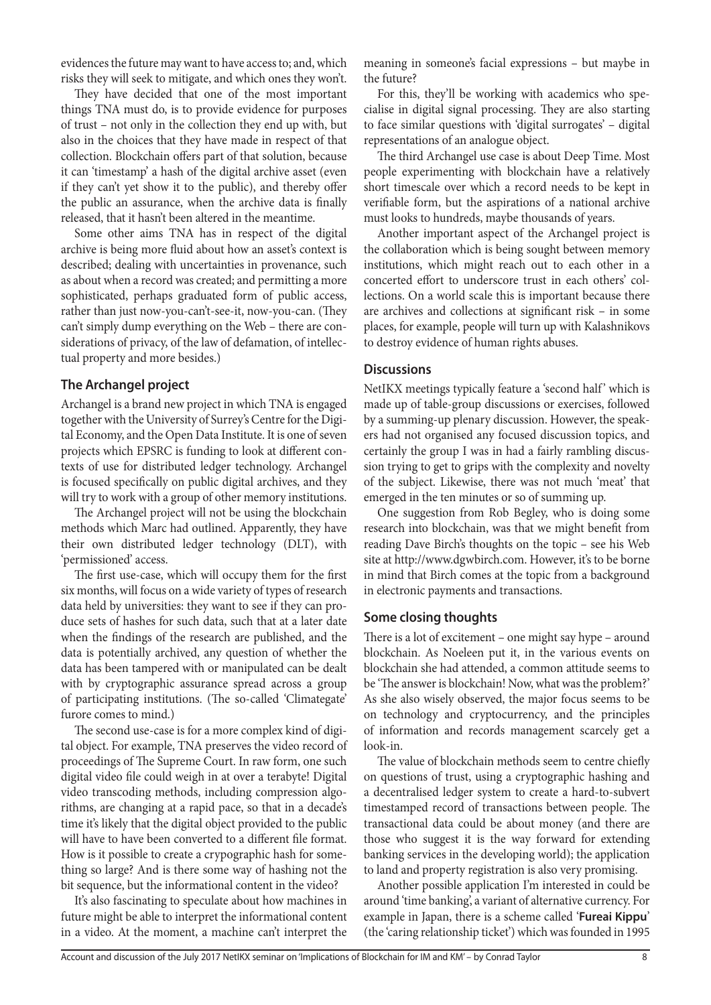evidences the future may want to have access to; and, which risks they will seek to mitigate, and which ones they won't.

They have decided that one of the most important things TNA must do, is to provide evidence for purposes of trust – not only in the collection they end up with, but also in the choices that they have made in respect of that collection. Blockchain offers part of that solution, because it can 'timestamp' a hash of the digital archive asset (even if they can't yet show it to the public), and thereby offer the public an assurance, when the archive data is finally released, that it hasn't been altered in the meantime.

Some other aims TNA has in respect of the digital archive is being more fluid about how an asset's context is described; dealing with uncertainties in provenance, such as about when a record was created; and permitting a more sophisticated, perhaps graduated form of public access, rather than just now-you-can't-see-it, now-you-can. (They can't simply dump everything on the Web – there are considerations of privacy, of the law of defamation, of intellectual property and more besides.)

## **The Archangel project**

Archangel is a brand new project in which TNA is engaged together with the University of Surrey's Centre for the Digital Economy, and the Open Data Institute. It is one of seven projects which EPSRC is funding to look at different contexts of use for distributed ledger technology. Archangel is focused specifically on public digital archives, and they will try to work with a group of other memory institutions.

The Archangel project will not be using the blockchain methods which Marc had outlined. Apparently, they have their own distributed ledger technology (DLT), with 'permissioned' access.

The first use-case, which will occupy them for the first six months, will focus on a wide variety of types of research data held by universities: they want to see if they can produce sets of hashes for such data, such that at a later date when the findings of the research are published, and the data is potentially archived, any question of whether the data has been tampered with or manipulated can be dealt with by cryptographic assurance spread across a group of participating institutions. (The so-called 'Climategate' furore comes to mind.)

The second use-case is for a more complex kind of digital object. For example, TNA preserves the video record of proceedings of The Supreme Court. In raw form, one such digital video file could weigh in at over a terabyte! Digital video transcoding methods, including compression algorithms, are changing at a rapid pace, so that in a decade's time it's likely that the digital object provided to the public will have to have been converted to a different file format. How is it possible to create a crypographic hash for something so large? And is there some way of hashing not the bit sequence, but the informational content in the video?

It's also fascinating to speculate about how machines in future might be able to interpret the informational content in a video. At the moment, a machine can't interpret the

meaning in someone's facial expressions – but maybe in the future?

For this, they'll be working with academics who specialise in digital signal processing. They are also starting to face similar questions with 'digital surrogates' – digital representations of an analogue object.

The third Archangel use case is about Deep Time. Most people experimenting with blockchain have a relatively short timescale over which a record needs to be kept in verifiable form, but the aspirations of a national archive must looks to hundreds, maybe thousands of years.

Another important aspect of the Archangel project is the collaboration which is being sought between memory institutions, which might reach out to each other in a concerted effort to underscore trust in each others' collections. On a world scale this is important because there are archives and collections at significant risk – in some places, for example, people will turn up with Kalashnikovs to destroy evidence of human rights abuses.

## **Discussions**

NetIKX meetings typically feature a 'second half' which is made up of table-group discussions or exercises, followed by a summing-up plenary discussion. However, the speakers had not organised any focused discussion topics, and certainly the group I was in had a fairly rambling discussion trying to get to grips with the complexity and novelty of the subject. Likewise, there was not much 'meat' that emerged in the ten minutes or so of summing up.

One suggestion from Rob Begley, who is doing some research into blockchain, was that we might benefit from reading Dave Birch's thoughts on the topic – see his Web site at http://www.dgwbirch.com. However, it's to be borne in mind that Birch comes at the topic from a background in electronic payments and transactions.

## **Some closing thoughts**

There is a lot of excitement – one might say hype – around blockchain. As Noeleen put it, in the various events on blockchain she had attended, a common attitude seems to be 'The answer is blockchain! Now, what was the problem?' As she also wisely observed, the major focus seems to be on technology and cryptocurrency, and the principles of information and records management scarcely get a look-in.

The value of blockchain methods seem to centre chiefly on questions of trust, using a cryptographic hashing and a decentralised ledger system to create a hard-to-subvert timestamped record of transactions between people. The transactional data could be about money (and there are those who suggest it is the way forward for extending banking services in the developing world); the application to land and property registration is also very promising.

Another possible application I'm interested in could be around 'time banking', a variant of alternative currency. For example in Japan, there is a scheme called '**Fureai Kippu**' (the 'caring relationship ticket') which was founded in 1995